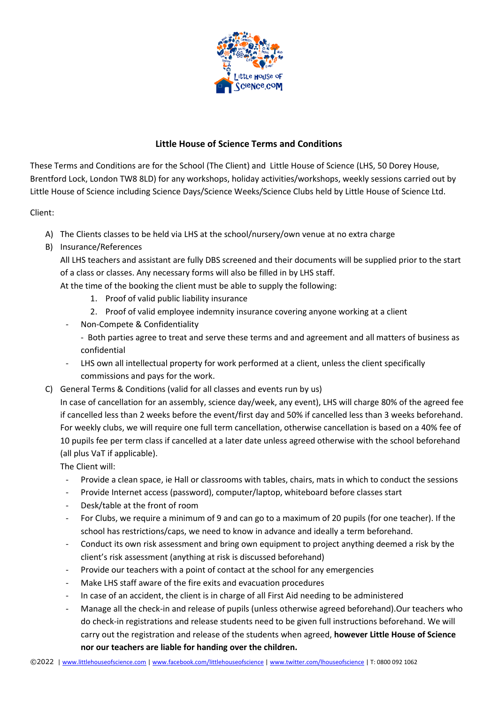

## **Little House of Science Terms and Conditions**

These Terms and Conditions are for the School (The Client) and Little House of Science (LHS, 50 Dorey House, Brentford Lock, London TW8 8LD) for any workshops, holiday activities/workshops, weekly sessions carried out by Little House of Science including Science Days/Science Weeks/Science Clubs held by Little House of Science Ltd.

Client:

- A) The Clients classes to be held via LHS at the school/nursery/own venue at no extra charge
- B) Insurance/References

All LHS teachers and assistant are fully DBS screened and their documents will be supplied prior to the start of a class or classes. Any necessary forms will also be filled in by LHS staff.

At the time of the booking the client must be able to supply the following:

- 1. Proof of valid public liability insurance
- 2. Proof of valid employee indemnity insurance covering anyone working at a client
- Non-Compete & Confidentiality
	- Both parties agree to treat and serve these terms and and agreement and all matters of business as confidential
- LHS own all intellectual property for work performed at a client, unless the client specifically commissions and pays for the work.
- C) General Terms & Conditions (valid for all classes and events run by us)

In case of cancellation for an assembly, science day/week, any event), LHS will charge 80% of the agreed fee if cancelled less than 2 weeks before the event/first day and 50% if cancelled less than 3 weeks beforehand. For weekly clubs, we will require one full term cancellation, otherwise cancellation is based on a 40% fee of 10 pupils fee per term class if cancelled at a later date unless agreed otherwise with the school beforehand (all plus VaT if applicable).

The Client will:

- Provide a clean space, ie Hall or classrooms with tables, chairs, mats in which to conduct the sessions
- Provide Internet access (password), computer/laptop, whiteboard before classes start
- Desk/table at the front of room
- For Clubs, we require a minimum of 9 and can go to a maximum of 20 pupils (for one teacher). If the school has restrictions/caps, we need to know in advance and ideally a term beforehand.
- Conduct its own risk assessment and bring own equipment to project anything deemed a risk by the client's risk assessment (anything at risk is discussed beforehand)
- Provide our teachers with a point of contact at the school for any emergencies
- Make LHS staff aware of the fire exits and evacuation procedures
- In case of an accident, the client is in charge of all First Aid needing to be administered
- Manage all the check-in and release of pupils (unless otherwise agreed beforehand).Our teachers who do check-in registrations and release students need to be given full instructions beforehand. We will carry out the registration and release of the students when agreed, **however Little House of Science nor our teachers are liable for handing over the children.**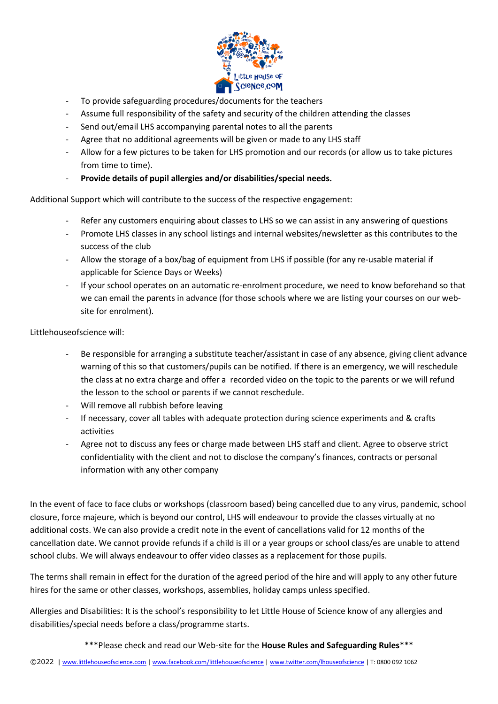

- To provide safeguarding procedures/documents for the teachers
- Assume full responsibility of the safety and security of the children attending the classes
- Send out/email LHS accompanying parental notes to all the parents
- Agree that no additional agreements will be given or made to any LHS staff
- Allow for a few pictures to be taken for LHS promotion and our records (or allow us to take pictures from time to time).
- **Provide details of pupil allergies and/or disabilities/special needs.**

Additional Support which will contribute to the success of the respective engagement:

- Refer any customers enquiring about classes to LHS so we can assist in any answering of questions
- Promote LHS classes in any school listings and internal websites/newsletter as this contributes to the success of the club
- Allow the storage of a box/bag of equipment from LHS if possible (for any re-usable material if applicable for Science Days or Weeks)
- If your school operates on an automatic re-enrolment procedure, we need to know beforehand so that we can email the parents in advance (for those schools where we are listing your courses on our website for enrolment).

Littlehouseofscience will:

- Be responsible for arranging a substitute teacher/assistant in case of any absence, giving client advance warning of this so that customers/pupils can be notified. If there is an emergency, we will reschedule the class at no extra charge and offer a recorded video on the topic to the parents or we will refund the lesson to the school or parents if we cannot reschedule.
- Will remove all rubbish before leaving
- If necessary, cover all tables with adequate protection during science experiments and & crafts activities
- Agree not to discuss any fees or charge made between LHS staff and client. Agree to observe strict confidentiality with the client and not to disclose the company's finances, contracts or personal information with any other company

In the event of face to face clubs or workshops (classroom based) being cancelled due to any virus, pandemic, school closure, force majeure, which is beyond our control, LHS will endeavour to provide the classes virtually at no additional costs. We can also provide a credit note in the event of cancellations valid for 12 months of the cancellation date. We cannot provide refunds if a child is ill or a year groups or school class/es are unable to attend school clubs. We will always endeavour to offer video classes as a replacement for those pupils.

The terms shall remain in effect for the duration of the agreed period of the hire and will apply to any other future hires for the same or other classes, workshops, assemblies, holiday camps unless specified.

Allergies and Disabilities: It is the school's responsibility to let Little House of Science know of any allergies and disabilities/special needs before a class/programme starts.

\*\*\*Please check and read our Web-site for the **House Rules and Safeguarding Rules**\*\*\*